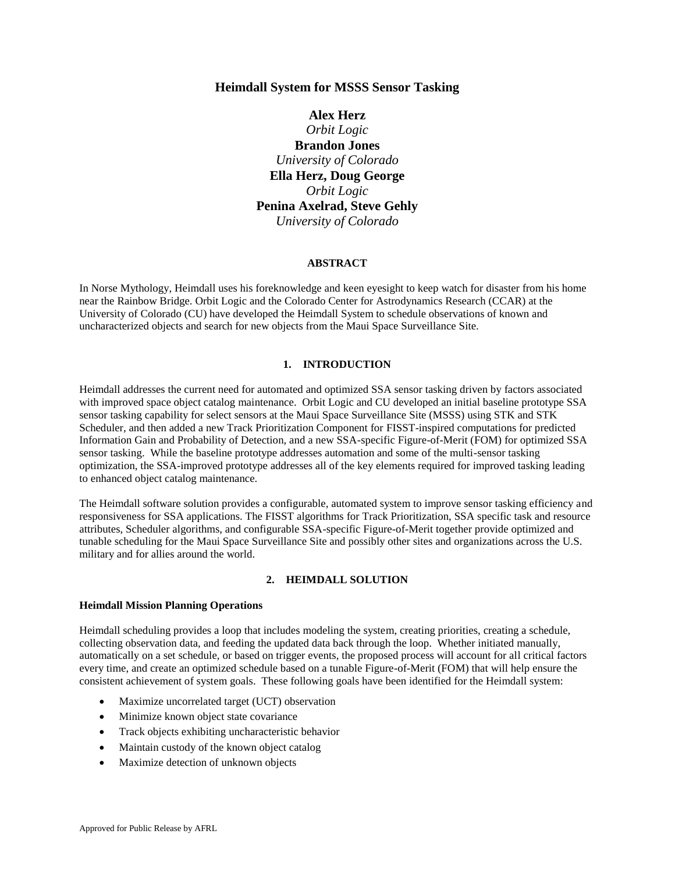# **Heimdall System for MSSS Sensor Tasking**

**Alex Herz** *Orbit Logic* **Brandon Jones** *University of Colorado* **Ella Herz, Doug George** *Orbit Logic* **Penina Axelrad, Steve Gehly** *University of Colorado*

### **ABSTRACT**

In Norse Mythology, Heimdall uses his foreknowledge and keen eyesight to keep watch for disaster from his home near the Rainbow Bridge. Orbit Logic and the Colorado Center for Astrodynamics Research (CCAR) at the University of Colorado (CU) have developed the Heimdall System to schedule observations of known and uncharacterized objects and search for new objects from the Maui Space Surveillance Site.

### **1. INTRODUCTION**

Heimdall addresses the current need for automated and optimized SSA sensor tasking driven by factors associated with improved space object catalog maintenance. Orbit Logic and CU developed an initial baseline prototype SSA sensor tasking capability for select sensors at the Maui Space Surveillance Site (MSSS) using STK and STK Scheduler, and then added a new Track Prioritization Component for FISST-inspired computations for predicted Information Gain and Probability of Detection, and a new SSA-specific Figure-of-Merit (FOM) for optimized SSA sensor tasking. While the baseline prototype addresses automation and some of the multi-sensor tasking optimization, the SSA-improved prototype addresses all of the key elements required for improved tasking leading to enhanced object catalog maintenance.

The Heimdall software solution provides a configurable, automated system to improve sensor tasking efficiency and responsiveness for SSA applications. The FISST algorithms for Track Prioritization, SSA specific task and resource attributes, Scheduler algorithms, and configurable SSA-specific Figure-of-Merit together provide optimized and tunable scheduling for the Maui Space Surveillance Site and possibly other sites and organizations across the U.S. military and for allies around the world.

#### **2. HEIMDALL SOLUTION**

### **Heimdall Mission Planning Operations**

Heimdall scheduling provides a loop that includes modeling the system, creating priorities, creating a schedule, collecting observation data, and feeding the updated data back through the loop. Whether initiated manually, automatically on a set schedule, or based on trigger events, the proposed process will account for all critical factors every time, and create an optimized schedule based on a tunable Figure-of-Merit (FOM) that will help ensure the consistent achievement of system goals. These following goals have been identified for the Heimdall system:

- Maximize uncorrelated target (UCT) observation
- Minimize known object state covariance
- Track objects exhibiting uncharacteristic behavior
- Maintain custody of the known object catalog
- Maximize detection of unknown objects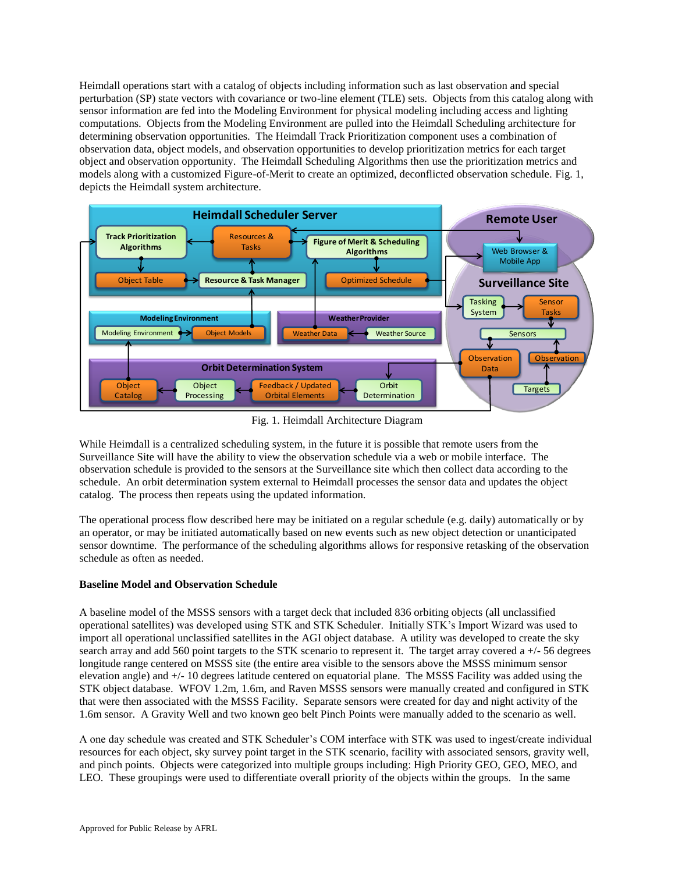Heimdall operations start with a catalog of objects including information such as last observation and special perturbation (SP) state vectors with covariance or two-line element (TLE) sets. Objects from this catalog along with sensor information are fed into the Modeling Environment for physical modeling including access and lighting computations. Objects from the Modeling Environment are pulled into the Heimdall Scheduling architecture for determining observation opportunities. The Heimdall Track Prioritization component uses a combination of observation data, object models, and observation opportunities to develop prioritization metrics for each target object and observation opportunity. The Heimdall Scheduling Algorithms then use the prioritization metrics and models along with a customized Figure-of-Merit to create an optimized, deconflicted observation schedule. [Fig.](#page-1-0) 1, depicts the Heimdall system architecture.



Fig. 1. Heimdall Architecture Diagram

<span id="page-1-0"></span>While Heimdall is a centralized scheduling system, in the future it is possible that remote users from the Surveillance Site will have the ability to view the observation schedule via a web or mobile interface. The observation schedule is provided to the sensors at the Surveillance site which then collect data according to the schedule. An orbit determination system external to Heimdall processes the sensor data and updates the object catalog. The process then repeats using the updated information.

The operational process flow described here may be initiated on a regular schedule (e.g. daily) automatically or by an operator, or may be initiated automatically based on new events such as new object detection or unanticipated sensor downtime. The performance of the scheduling algorithms allows for responsive retasking of the observation schedule as often as needed.

# **Baseline Model and Observation Schedule**

A baseline model of the MSSS sensors with a target deck that included 836 orbiting objects (all unclassified operational satellites) was developed using STK and STK Scheduler. Initially STK's Import Wizard was used to import all operational unclassified satellites in the AGI object database. A utility was developed to create the sky search array and add 560 point targets to the STK scenario to represent it. The target array covered a +/- 56 degrees longitude range centered on MSSS site (the entire area visible to the sensors above the MSSS minimum sensor elevation angle) and +/- 10 degrees latitude centered on equatorial plane. The MSSS Facility was added using the STK object database. WFOV 1.2m, 1.6m, and Raven MSSS sensors were manually created and configured in STK that were then associated with the MSSS Facility. Separate sensors were created for day and night activity of the 1.6m sensor. A Gravity Well and two known geo belt Pinch Points were manually added to the scenario as well.

A one day schedule was created and STK Scheduler's COM interface with STK was used to ingest/create individual resources for each object, sky survey point target in the STK scenario, facility with associated sensors, gravity well, and pinch points. Objects were categorized into multiple groups including: High Priority GEO, GEO, MEO, and LEO. These groupings were used to differentiate overall priority of the objects within the groups. In the same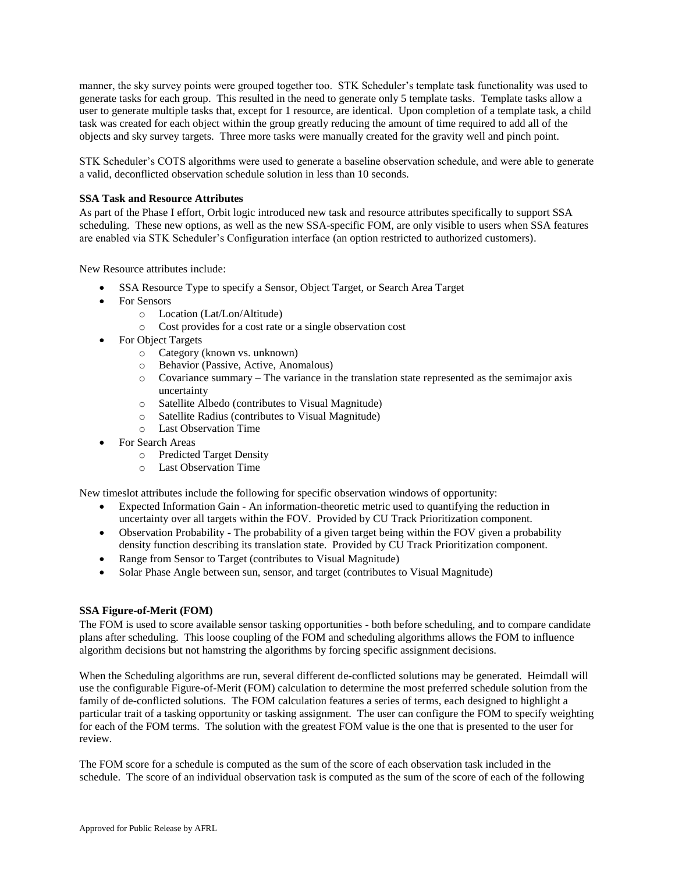manner, the sky survey points were grouped together too. STK Scheduler's template task functionality was used to generate tasks for each group. This resulted in the need to generate only 5 template tasks. Template tasks allow a user to generate multiple tasks that, except for 1 resource, are identical. Upon completion of a template task, a child task was created for each object within the group greatly reducing the amount of time required to add all of the objects and sky survey targets. Three more tasks were manually created for the gravity well and pinch point.

STK Scheduler's COTS algorithms were used to generate a baseline observation schedule, and were able to generate a valid, deconflicted observation schedule solution in less than 10 seconds.

### **SSA Task and Resource Attributes**

As part of the Phase I effort, Orbit logic introduced new task and resource attributes specifically to support SSA scheduling. These new options, as well as the new SSA-specific FOM, are only visible to users when SSA features are enabled via STK Scheduler's Configuration interface (an option restricted to authorized customers).

New Resource attributes include:

- SSA Resource Type to specify a Sensor, Object Target, or Search Area Target
- For Sensors
	- o Location (Lat/Lon/Altitude)
	- o Cost provides for a cost rate or a single observation cost
- For Object Targets
	- o Category (known vs. unknown)
	- Behavior (Passive, Active, Anomalous)
	- o Covariance summary The variance in the translation state represented as the semimajor axis uncertainty
	- o Satellite Albedo (contributes to Visual Magnitude)
	- o Satellite Radius (contributes to Visual Magnitude)
	- o Last Observation Time
- For Search Areas
	- o Predicted Target Density
	- o Last Observation Time

New timeslot attributes include the following for specific observation windows of opportunity:

- Expected Information Gain An information-theoretic metric used to quantifying the reduction in uncertainty over all targets within the FOV. Provided by CU Track Prioritization component.
- Observation Probability The probability of a given target being within the FOV given a probability density function describing its translation state. Provided by CU Track Prioritization component.
- Range from Sensor to Target (contributes to Visual Magnitude)
- Solar Phase Angle between sun, sensor, and target (contributes to Visual Magnitude)

### **SSA Figure-of-Merit (FOM)**

The FOM is used to score available sensor tasking opportunities - both before scheduling, and to compare candidate plans after scheduling. This loose coupling of the FOM and scheduling algorithms allows the FOM to influence algorithm decisions but not hamstring the algorithms by forcing specific assignment decisions.

When the Scheduling algorithms are run, several different de-conflicted solutions may be generated. Heimdall will use the configurable Figure-of-Merit (FOM) calculation to determine the most preferred schedule solution from the family of de-conflicted solutions. The FOM calculation features a series of terms, each designed to highlight a particular trait of a tasking opportunity or tasking assignment. The user can configure the FOM to specify weighting for each of the FOM terms. The solution with the greatest FOM value is the one that is presented to the user for review.

The FOM score for a schedule is computed as the sum of the score of each observation task included in the schedule. The score of an individual observation task is computed as the sum of the score of each of the following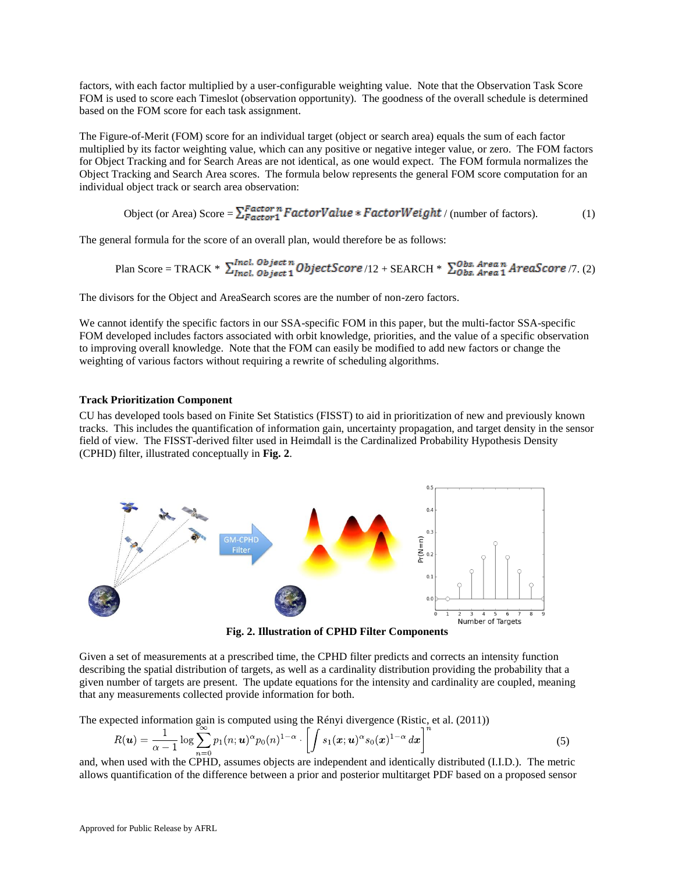factors, with each factor multiplied by a user-configurable weighting value. Note that the Observation Task Score FOM is used to score each Timeslot (observation opportunity). The goodness of the overall schedule is determined based on the FOM score for each task assignment.

The Figure-of-Merit (FOM) score for an individual target (object or search area) equals the sum of each factor multiplied by its factor weighting value, which can any positive or negative integer value, or zero. The FOM factors for Object Tracking and for Search Areas are not identical, as one would expect. The FOM formula normalizes the Object Tracking and Search Area scores. The formula below represents the general FOM score computation for an individual object track or search area observation:

Object (or Area) Score = 
$$
\sum_{Factor1}^{Factor n} FactorValue * FactorWeight / (number of factors).
$$
 (1)

The general formula for the score of an overall plan, would therefore be as follows:

Plan Score = TRACK \* 
$$
\sum_{Incl. Object1}^{Incl. Object1} ObjectScore / 12 + SEARCH *  $\sum_{Obs. Area1}^{Obs. Area1} AreaScore / 7$ . (2)
$$

The divisors for the Object and AreaSearch scores are the number of non-zero factors.

We cannot identify the specific factors in our SSA-specific FOM in this paper, but the multi-factor SSA-specific FOM developed includes factors associated with orbit knowledge, priorities, and the value of a specific observation to improving overall knowledge. Note that the FOM can easily be modified to add new factors or change the weighting of various factors without requiring a rewrite of scheduling algorithms.

### **Track Prioritization Component**

CU has developed tools based on Finite Set Statistics (FISST) to aid in prioritization of new and previously known tracks. This includes the quantification of information gain, uncertainty propagation, and target density in the sensor field of view. The FISST-derived filter used in Heimdall is the Cardinalized Probability Hypothesis Density (CPHD) filter, illustrated conceptually in **[Fig.](#page-3-0) 2**.



**Fig. 2. Illustration of CPHD Filter Components**

<span id="page-3-0"></span>Given a set of measurements at a prescribed time, the CPHD filter predicts and corrects an intensity function describing the spatial distribution of targets, as well as a cardinality distribution providing the probability that a given number of targets are present. The update equations for the intensity and cardinality are coupled, meaning that any measurements collected provide information for both.

The expected information gain is computed using the Rényi divergence (Ristic, et al. (2011))

$$
R(\mathbf{u}) = \frac{1}{\alpha - 1} \log \sum_{n=0}^{\infty} p_1(n; \mathbf{u})^{\alpha} p_0(n)^{1-\alpha} \cdot \left[ \int s_1(\mathbf{x}; \mathbf{u})^{\alpha} s_0(\mathbf{x})^{1-\alpha} d\mathbf{x} \right]^n
$$
 (5)

and, when used with the CPHD, assumes objects are independent and identically distributed (I.I.D.). The metric allows quantification of the difference between a prior and posterior multitarget PDF based on a proposed sensor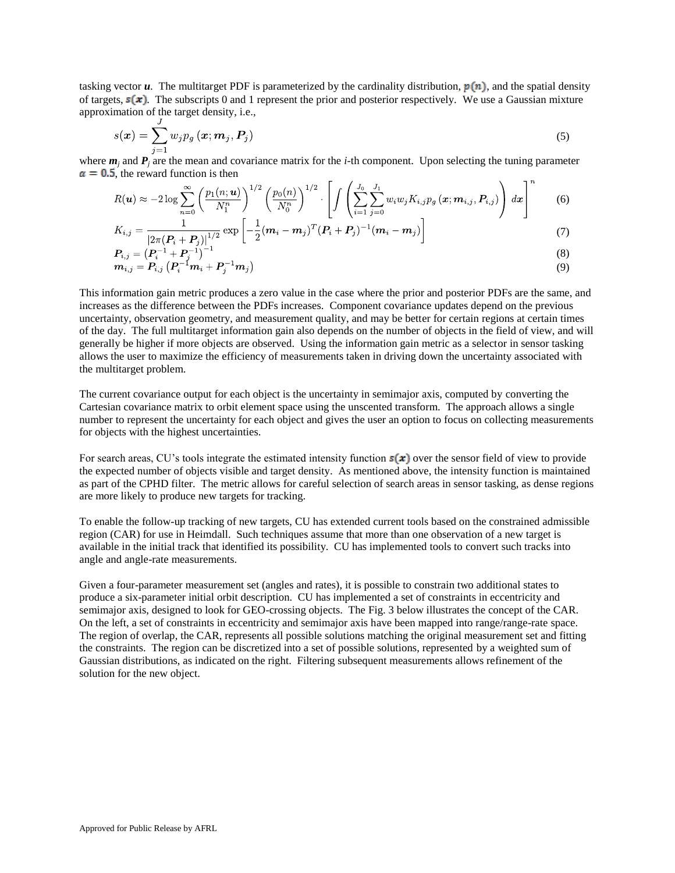tasking vector  $u$ . The multitarget PDF is parameterized by the cardinality distribution,  $p(n)$ , and the spatial density of targets,  $s(x)$ . The subscripts 0 and 1 represent the prior and posterior respectively. We use a Gaussian mixture approximation of the target density, i.e.,

$$
s(\boldsymbol{x}) = \sum_{j=1}^{s} w_j p_g(\boldsymbol{x}; \boldsymbol{m}_j, \boldsymbol{P}_j)
$$
\n(5)

where  $m_i$  and  $P_j$  are the mean and covariance matrix for the *i*-th component. Upon selecting the tuning parameter  $\alpha = 0.5$ , the reward function is then

$$
R(\mathbf{u}) \approx -2\log \sum_{n=0}^{\infty} \left(\frac{p_1(n; \mathbf{u})}{N_1^n}\right)^{1/2} \left(\frac{p_0(n)}{N_0^n}\right)^{1/2} \cdot \left[\int \left(\sum_{i=1}^{J_0} \sum_{j=0}^{J_1} w_i w_j K_{i,j} p_g\left(\mathbf{x}; \mathbf{m}_{i,j}, P_{i,j}\right)\right) d\mathbf{x}\right]^n \tag{6}
$$

$$
K_{i,j} = \frac{1}{\left|2\pi(\boldsymbol{P}_i + \boldsymbol{P}_j)\right|^{\frac{1}{2}}}\exp\left[-\frac{1}{2}(\boldsymbol{m}_i - \boldsymbol{m}_j)^T(\boldsymbol{P}_i + \boldsymbol{P}_j)^{-1}(\boldsymbol{m}_i - \boldsymbol{m}_j)\right]
$$
(7)

$$
P_{i,j} = (P_i^{-1} + P_j^{-1})^{-1}
$$
  
\n
$$
m_{i,j} = P_{i,j} (P_i^{-1} m_i + P_j^{-1} m_j)
$$
\n(8)

This information gain metric produces a zero value in the case where the prior and posterior PDFs are the same, and increases as the difference between the PDFs increases. Component covariance updates depend on the previous uncertainty, observation geometry, and measurement quality, and may be better for certain regions at certain times of the day. The full multitarget information gain also depends on the number of objects in the field of view, and will generally be higher if more objects are observed. Using the information gain metric as a selector in sensor tasking allows the user to maximize the efficiency of measurements taken in driving down the uncertainty associated with the multitarget problem.

The current covariance output for each object is the uncertainty in semimajor axis, computed by converting the Cartesian covariance matrix to orbit element space using the unscented transform. The approach allows a single number to represent the uncertainty for each object and gives the user an option to focus on collecting measurements for objects with the highest uncertainties.

For search areas, CU's tools integrate the estimated intensity function  $s(x)$  over the sensor field of view to provide the expected number of objects visible and target density. As mentioned above, the intensity function is maintained as part of the CPHD filter. The metric allows for careful selection of search areas in sensor tasking, as dense regions are more likely to produce new targets for tracking.

To enable the follow-up tracking of new targets, CU has extended current tools based on the constrained admissible region (CAR) for use in Heimdall. Such techniques assume that more than one observation of a new target is available in the initial track that identified its possibility. CU has implemented tools to convert such tracks into angle and angle-rate measurements.

Given a four-parameter measurement set (angles and rates), it is possible to constrain two additional states to produce a six-parameter initial orbit description. CU has implemented a set of constraints in eccentricity and semimajor axis, designed to look for GEO-crossing objects. The [Fig.](#page-5-0) 3 below illustrates the concept of the CAR. On the left, a set of constraints in eccentricity and semimajor axis have been mapped into range/range-rate space. The region of overlap, the CAR, represents all possible solutions matching the original measurement set and fitting the constraints. The region can be discretized into a set of possible solutions, represented by a weighted sum of Gaussian distributions, as indicated on the right. Filtering subsequent measurements allows refinement of the solution for the new object.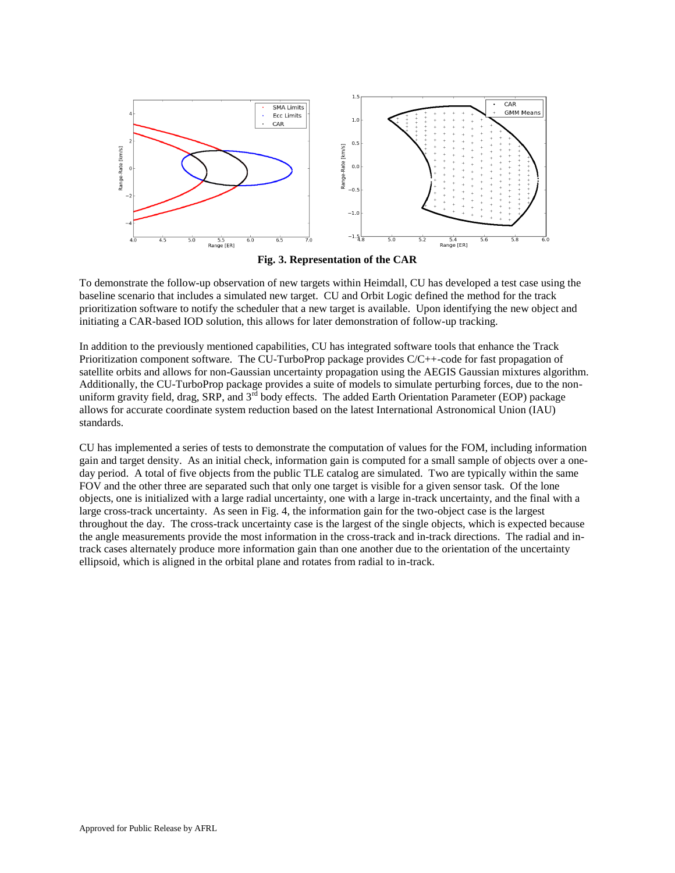

**Fig. 3. Representation of the CAR**

<span id="page-5-0"></span>To demonstrate the follow-up observation of new targets within Heimdall, CU has developed a test case using the baseline scenario that includes a simulated new target. CU and Orbit Logic defined the method for the track prioritization software to notify the scheduler that a new target is available. Upon identifying the new object and initiating a CAR-based IOD solution, this allows for later demonstration of follow-up tracking.

In addition to the previously mentioned capabilities, CU has integrated software tools that enhance the Track Prioritization component software. The CU-TurboProp package provides C/C++-code for fast propagation of satellite orbits and allows for non-Gaussian uncertainty propagation using the AEGIS Gaussian mixtures algorithm. Additionally, the CU-TurboProp package provides a suite of models to simulate perturbing forces, due to the nonuniform gravity field, drag, SRP, and 3<sup>rd</sup> body effects. The added Earth Orientation Parameter (EOP) package allows for accurate coordinate system reduction based on the latest International Astronomical Union (IAU) standards.

CU has implemented a series of tests to demonstrate the computation of values for the FOM, including information gain and target density. As an initial check, information gain is computed for a small sample of objects over a oneday period. A total of five objects from the public TLE catalog are simulated. Two are typically within the same FOV and the other three are separated such that only one target is visible for a given sensor task. Of the lone objects, one is initialized with a large radial uncertainty, one with a large in-track uncertainty, and the final with a large cross-track uncertainty. As seen in Fig. 4, the information gain for the two-object case is the largest throughout the day. The cross-track uncertainty case is the largest of the single objects, which is expected because the angle measurements provide the most information in the cross-track and in-track directions. The radial and intrack cases alternately produce more information gain than one another due to the orientation of the uncertainty ellipsoid, which is aligned in the orbital plane and rotates from radial to in-track.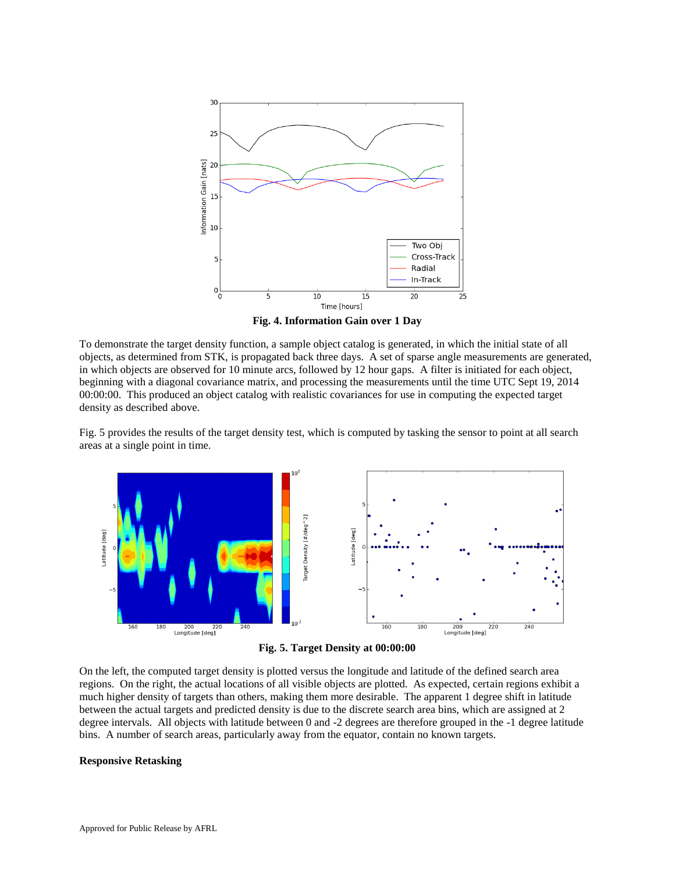

**Fig. 4. Information Gain over 1 Day**

To demonstrate the target density function, a sample object catalog is generated, in which the initial state of all objects, as determined from STK, is propagated back three days. A set of sparse angle measurements are generated, in which objects are observed for 10 minute arcs, followed by 12 hour gaps. A filter is initiated for each object, beginning with a diagonal covariance matrix, and processing the measurements until the time UTC Sept 19, 2014 00:00:00. This produced an object catalog with realistic covariances for use in computing the expected target density as described above.

[Fig.](#page-6-0) 5 provides the results of the target density test, which is computed by tasking the sensor to point at all search areas at a single point in time.



**Fig. 5. Target Density at 00:00:00**

<span id="page-6-0"></span>On the left, the computed target density is plotted versus the longitude and latitude of the defined search area regions. On the right, the actual locations of all visible objects are plotted. As expected, certain regions exhibit a much higher density of targets than others, making them more desirable. The apparent 1 degree shift in latitude between the actual targets and predicted density is due to the discrete search area bins, which are assigned at 2 degree intervals. All objects with latitude between 0 and -2 degrees are therefore grouped in the -1 degree latitude bins. A number of search areas, particularly away from the equator, contain no known targets.

### **Responsive Retasking**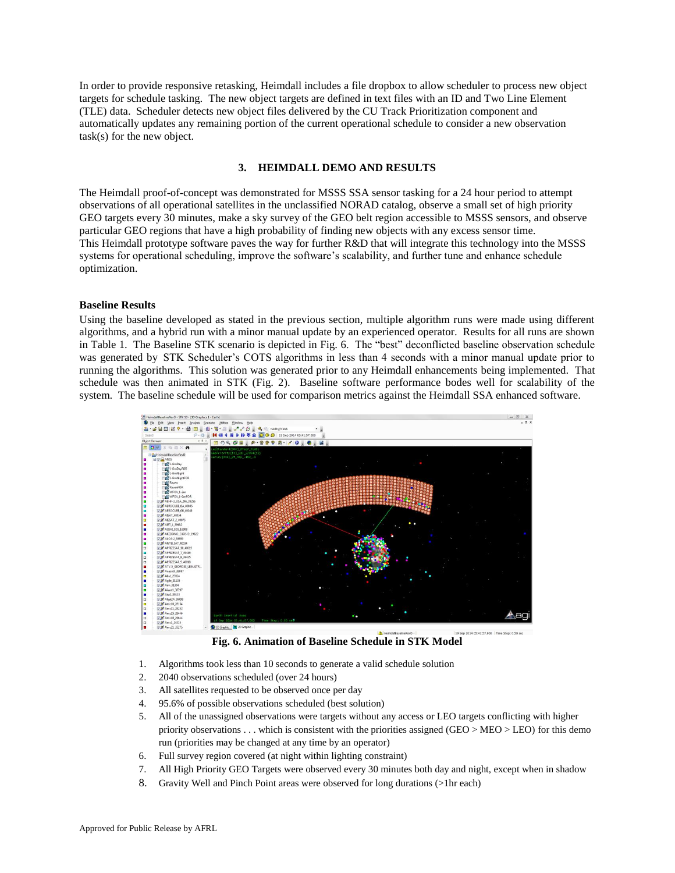In order to provide responsive retasking, Heimdall includes a file dropbox to allow scheduler to process new object targets for schedule tasking. The new object targets are defined in text files with an ID and Two Line Element (TLE) data. Scheduler detects new object files delivered by the CU Track Prioritization component and automatically updates any remaining portion of the current operational schedule to consider a new observation task(s) for the new object.

### **3. HEIMDALL DEMO AND RESULTS**

The Heimdall proof-of-concept was demonstrated for MSSS SSA sensor tasking for a 24 hour period to attempt observations of all operational satellites in the unclassified NORAD catalog, observe a small set of high priority GEO targets every 30 minutes, make a sky survey of the GEO belt region accessible to MSSS sensors, and observe particular GEO regions that have a high probability of finding new objects with any excess sensor time. This Heimdall prototype software paves the way for further R&D that will integrate this technology into the MSSS systems for operational scheduling, improve the software's scalability, and further tune and enhance schedule optimization.

### **Baseline Results**

Using the baseline developed as stated in the previous section, multiple algorithm runs were made using different algorithms, and a hybrid run with a minor manual update by an experienced operator. Results for all runs are shown in [Table 1.](#page-8-0) The Baseline STK scenario is depicted in [Fig.](#page-7-0) 6. The "best" deconflicted baseline observation schedule was generated by STK Scheduler's COTS algorithms in less than 4 seconds with a minor manual update prior to running the algorithms. This solution was generated prior to any Heimdall enhancements being implemented. That schedule was then animated in STK (Fig. 2). Baseline software performance bodes well for scalability of the system. The baseline schedule will be used for comparison metrics against the Heimdall SSA enhanced software.



**Fig. 6. Animation of Baseline Schedule in STK Model**

- <span id="page-7-0"></span>1. Algorithms took less than 10 seconds to generate a valid schedule solution
- 2. 2040 observations scheduled (over 24 hours)
- 3. All satellites requested to be observed once per day
- 4. 95.6% of possible observations scheduled (best solution)
- 5. All of the unassigned observations were targets without any access or LEO targets conflicting with higher priority observations . . . which is consistent with the priorities assigned (GEO > MEO > LEO) for this demo run (priorities may be changed at any time by an operator)
- 6. Full survey region covered (at night within lighting constraint)
- 7. All High Priority GEO Targets were observed every 30 minutes both day and night, except when in shadow
- 8. Gravity Well and Pinch Point areas were observed for long durations (>1hr each)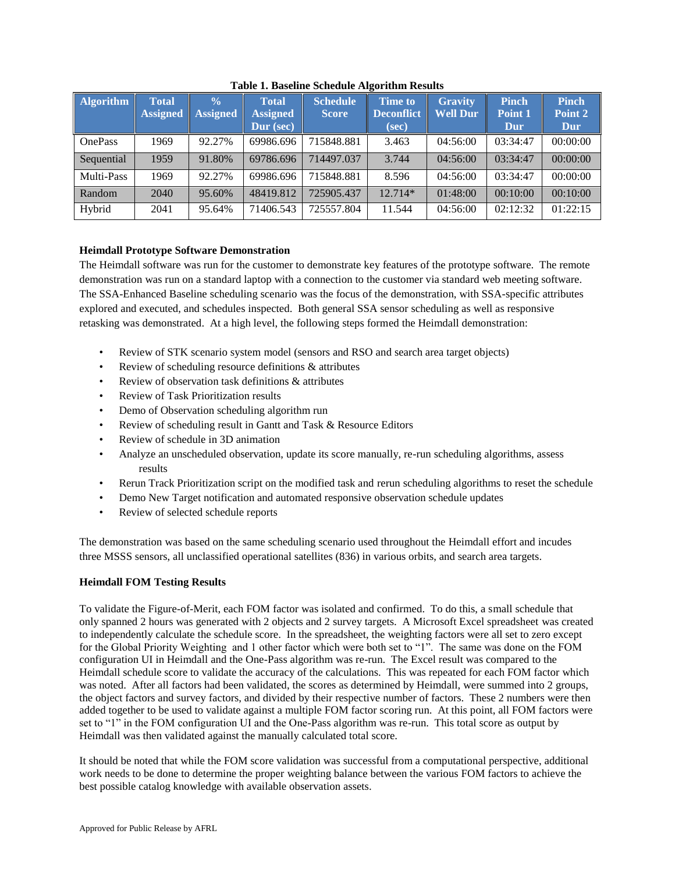<span id="page-8-0"></span>

| Algorithm      | <b>Total</b><br><b>Assigned</b> | $\frac{0}{0}$<br><b>Assigned</b> | <b>Total</b><br><b>Assigned</b> | <b>Schedule</b><br><b>Score</b> | <b>Time to</b><br><b>Deconflict</b> | <b>Gravity</b><br><b>Well Dur</b> | <b>Pinch</b><br>Point 1 | <b>Pinch</b><br>Point 2 |
|----------------|---------------------------------|----------------------------------|---------------------------------|---------------------------------|-------------------------------------|-----------------------------------|-------------------------|-------------------------|
|                |                                 |                                  | Dur (sec)                       |                                 | (sec)                               |                                   | Dur                     | Dur                     |
| <b>OnePass</b> | 1969                            | 92.27%                           | 69986.696                       | 715848.881                      | 3.463                               | 04:56:00                          | 03:34:47                | 00:00:00                |
| Sequential     | 1959                            | 91.80%                           | 69786.696                       | 714497.037                      | 3.744                               | 04:56:00                          | 03:34:47                | 00:00:00                |
| Multi-Pass     | 1969                            | 92.27%                           | 69986.696                       | 715848.881                      | 8.596                               | 04:56:00                          | 03:34:47                | 00:00:00                |
| Random         | 2040                            | 95.60%                           | 48419.812                       | 725905.437                      | $12.714*$                           | 01:48:00                          | 00:10:00                | 00:10:00                |
| Hybrid         | 2041                            | 95.64%                           | 71406.543                       | 725557.804                      | 11.544                              | 04:56:00                          | 02:12:32                | 01:22:15                |

# **Table 1. Baseline Schedule Algorithm Results**

# **Heimdall Prototype Software Demonstration**

The Heimdall software was run for the customer to demonstrate key features of the prototype software. The remote demonstration was run on a standard laptop with a connection to the customer via standard web meeting software. The SSA-Enhanced Baseline scheduling scenario was the focus of the demonstration, with SSA-specific attributes explored and executed, and schedules inspected. Both general SSA sensor scheduling as well as responsive retasking was demonstrated. At a high level, the following steps formed the Heimdall demonstration:

- Review of STK scenario system model (sensors and RSO and search area target objects)
- Review of scheduling resource definitions & attributes
- Review of observation task definitions & attributes
- Review of Task Prioritization results
- Demo of Observation scheduling algorithm run
- Review of scheduling result in Gantt and Task & Resource Editors
- Review of schedule in 3D animation
- Analyze an unscheduled observation, update its score manually, re-run scheduling algorithms, assess results
- Rerun Track Prioritization script on the modified task and rerun scheduling algorithms to reset the schedule
- Demo New Target notification and automated responsive observation schedule updates
- Review of selected schedule reports

The demonstration was based on the same scheduling scenario used throughout the Heimdall effort and incudes three MSSS sensors, all unclassified operational satellites (836) in various orbits, and search area targets.

# **Heimdall FOM Testing Results**

To validate the Figure-of-Merit, each FOM factor was isolated and confirmed. To do this, a small schedule that only spanned 2 hours was generated with 2 objects and 2 survey targets. A Microsoft Excel spreadsheet was created to independently calculate the schedule score. In the spreadsheet, the weighting factors were all set to zero except for the Global Priority Weighting and 1 other factor which were both set to "1". The same was done on the FOM configuration UI in Heimdall and the One-Pass algorithm was re-run. The Excel result was compared to the Heimdall schedule score to validate the accuracy of the calculations. This was repeated for each FOM factor which was noted. After all factors had been validated, the scores as determined by Heimdall, were summed into 2 groups, the object factors and survey factors, and divided by their respective number of factors. These 2 numbers were then added together to be used to validate against a multiple FOM factor scoring run. At this point, all FOM factors were set to "1" in the FOM configuration UI and the One-Pass algorithm was re-run. This total score as output by Heimdall was then validated against the manually calculated total score.

It should be noted that while the FOM score validation was successful from a computational perspective, additional work needs to be done to determine the proper weighting balance between the various FOM factors to achieve the best possible catalog knowledge with available observation assets.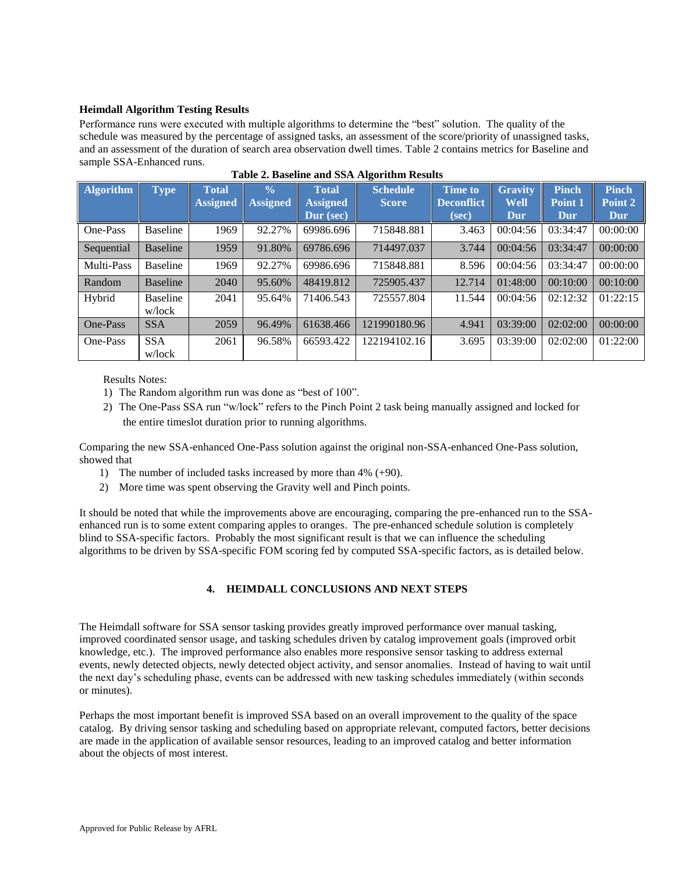# **Heimdall Algorithm Testing Results**

Performance runs were executed with multiple algorithms to determine the "best" solution. The quality of the schedule was measured by the percentage of assigned tasks, an assessment of the score/priority of unassigned tasks, and an assessment of the duration of search area observation dwell times. [Table 2](#page-9-0) contains metrics for Baseline and sample SSA-Enhanced runs.

**Table 2. Baseline and SSA Algorithm Results**

<span id="page-9-0"></span>

|            | таріс 2: Барсинс ана рол лісопиши керанэ |                                 |                                                |                                              |                                 |                                              |                                      |                                |                                |  |  |  |  |
|------------|------------------------------------------|---------------------------------|------------------------------------------------|----------------------------------------------|---------------------------------|----------------------------------------------|--------------------------------------|--------------------------------|--------------------------------|--|--|--|--|
| Algorithm  | <b>Type</b>                              | <b>Total</b><br><b>Assigned</b> | $\overline{\mathbf{0}}_{0}$<br><b>Assigned</b> | <b>Total</b><br><b>Assigned</b><br>Dur (sec) | <b>Schedule</b><br><b>Score</b> | <b>Time to</b><br><b>Deconflict</b><br>(sec) | <b>Gravity</b><br><b>Well</b><br>Dur | <b>Pinch</b><br>Point 1<br>Dur | <b>Pinch</b><br>Point 2<br>Dur |  |  |  |  |
| One-Pass   | <b>Baseline</b>                          | 1969                            | 92.27%                                         | 69986.696                                    | 715848.881                      | 3.463                                        | 00:04:56                             | 03:34:47                       | 00:00:00                       |  |  |  |  |
| Sequential | <b>Baseline</b>                          | 1959                            | 91.80%                                         | 69786.696                                    | 714497.037                      | 3.744                                        | 00:04:56                             | 03:34:47                       | 00:00:00                       |  |  |  |  |
| Multi-Pass | Baseline                                 | 1969                            | 92.27%                                         | 69986.696                                    | 715848.881                      | 8.596                                        | 00:04:56                             | 03:34:47                       | 00:00:00                       |  |  |  |  |
| Random     | <b>Baseline</b>                          | 2040                            | 95.60%                                         | 48419.812                                    | 725905.437                      | 12.714                                       | 01:48:00                             | 00:10:00                       | 00:10:00                       |  |  |  |  |
| Hybrid     | <b>Baseline</b><br>w/lock                | 2041                            | 95.64%                                         | 71406.543                                    | 725557.804                      | 11.544                                       | 00:04:56                             | 02:12:32                       | 01:22:15                       |  |  |  |  |
| One-Pass   | <b>SSA</b>                               | 2059                            | 96.49%                                         | 61638.466                                    | 121990180.96                    | 4.941                                        | 03:39:00                             | 02:02:00                       | 00:00:00                       |  |  |  |  |
| One-Pass   | <b>SSA</b><br>w/lock                     | 2061                            | 96.58%                                         | 66593.422                                    | 122194102.16                    | 3.695                                        | 03:39:00                             | 02:02:00                       | 01:22:00                       |  |  |  |  |

Results Notes:

- 1) The Random algorithm run was done as "best of 100".
- 2) The One-Pass SSA run "w/lock" refers to the Pinch Point 2 task being manually assigned and locked for the entire timeslot duration prior to running algorithms.

Comparing the new SSA-enhanced One-Pass solution against the original non-SSA-enhanced One-Pass solution, showed that

- 1) The number of included tasks increased by more than 4% (+90).
- 2) More time was spent observing the Gravity well and Pinch points.

It should be noted that while the improvements above are encouraging, comparing the pre-enhanced run to the SSAenhanced run is to some extent comparing apples to oranges. The pre-enhanced schedule solution is completely blind to SSA-specific factors. Probably the most significant result is that we can influence the scheduling algorithms to be driven by SSA-specific FOM scoring fed by computed SSA-specific factors, as is detailed below.

# **4. HEIMDALL CONCLUSIONS AND NEXT STEPS**

The Heimdall software for SSA sensor tasking provides greatly improved performance over manual tasking, improved coordinated sensor usage, and tasking schedules driven by catalog improvement goals (improved orbit knowledge, etc.). The improved performance also enables more responsive sensor tasking to address external events, newly detected objects, newly detected object activity, and sensor anomalies. Instead of having to wait until the next day's scheduling phase, events can be addressed with new tasking schedules immediately (within seconds or minutes).

Perhaps the most important benefit is improved SSA based on an overall improvement to the quality of the space catalog. By driving sensor tasking and scheduling based on appropriate relevant, computed factors, better decisions are made in the application of available sensor resources, leading to an improved catalog and better information about the objects of most interest.